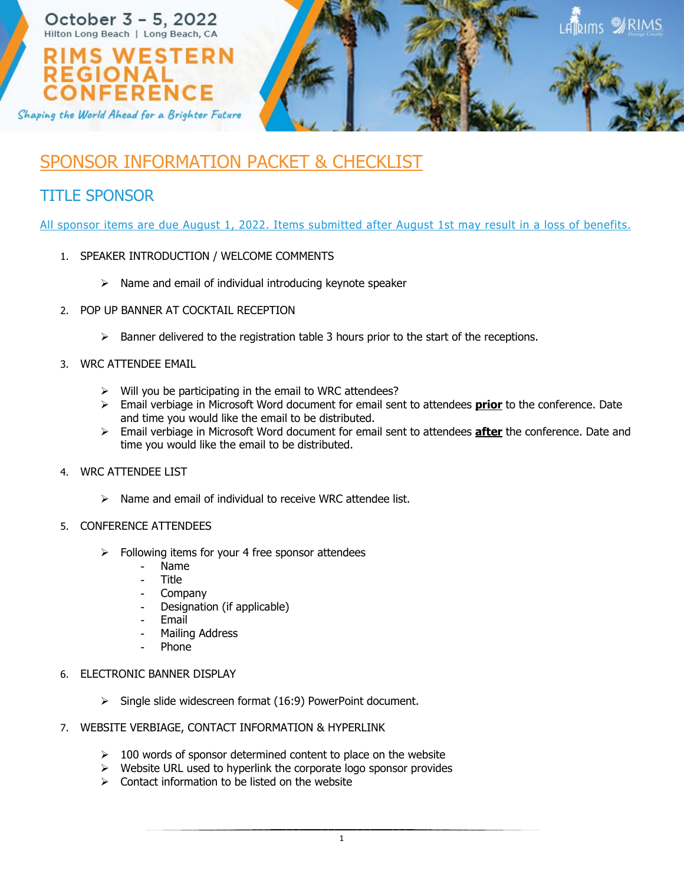

# SPONSOR INFORMATION PACKET & CHECKLIST

## TITLE SPONSOR

All sponsor items are due August 1, 2022. Items submitted after August 1st may result in a loss of benefits.

- 1. SPEAKER INTRODUCTION / WELCOME COMMENTS
	- $\triangleright$  Name and email of individual introducing keynote speaker
- 2. POP UP BANNER AT COCKTAIL RECEPTION
	- $\triangleright$  Banner delivered to the registration table 3 hours prior to the start of the receptions.
- 3. WRC ATTENDEE EMAIL
	- $\triangleright$  Will you be participating in the email to WRC attendees?
	- Email verbiage in Microsoft Word document for email sent to attendees **prior** to the conference. Date and time you would like the email to be distributed.
	- Email verbiage in Microsoft Word document for email sent to attendees **after** the conference. Date and time you would like the email to be distributed.
- 4. WRC ATTENDEE LIST
	- $\triangleright$  Name and email of individual to receive WRC attendee list.

### 5. CONFERENCE ATTENDEES

- $\triangleright$  Following items for your 4 free sponsor attendees
	- Name
	- Title
	- **Company**
	- Designation (if applicable)
	- **Email**
	- Mailing Address
	- Phone
- 6. ELECTRONIC BANNER DISPLAY
	- $\triangleright$  Single slide widescreen format (16:9) PowerPoint document.
- 7. WEBSITE VERBIAGE, CONTACT INFORMATION & HYPERLINK
	- $\geq$  100 words of sponsor determined content to place on the website
	- $\triangleright$  Website URL used to hyperlink the corporate logo sponsor provides
	- $\triangleright$  Contact information to be listed on the website